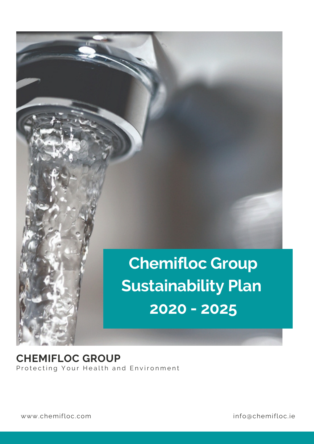# **Chemifloc Group Sustainability Plan 2020 - 2025**

**CHEMIFLOC GROUP** Protecting Your Health and Environment

www.chemifloc.com info@chemifloc.ie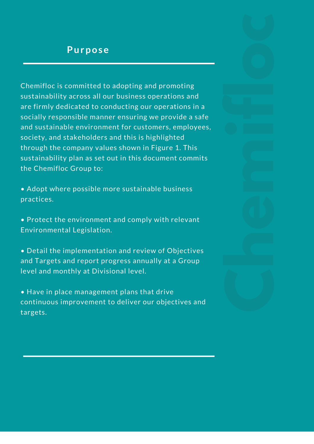#### **Purpose**

Chemifloc is committed to adopting and promoting sustainability across all our business operations and are firmly dedicated to conducting our operations in a socially responsible manner ensuring we provide a safe and sustainable environment for customers, employees, society, and stakeholders and this is highlighted through the company values shown in Figure 1. This sustainability plan as set out in this document commits the Chemifloc Group to:

• Adopt where possible more sustainable business practices.

• Protect the environment and comply with relevant Environmental Legislation.

• Detail the implementation and review of Objectives and Targets and report progress annually at a Group level and monthly at Divisional level.

• Have in place management plans that drive continuous improvement to deliver our objectives and targets.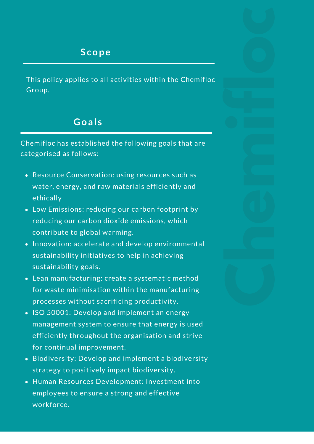Group.

Chemifloc has established the following goals that are categorised as follows:

- Resource Conservation: using resources such as water, energy, and raw materials efficiently and ethically
- Low Emissions: reducing our carbon footprint by reducing our carbon dioxide emissions, which contribute to global warming.
- **Scope**<br> **Chemifloc**<br> **Chemifloc**<br> **Goals**<br> **Goals**<br> **Coals**<br> **Coals**<br> **Coals**<br> **Coals**<br> **Coals**<br> **Coals**<br> **Coals**<br> **Coals**<br> **Coals**<br> **Coals**<br> **Coals**<br> **Coals**<br> **Coals**<br> **Coals**<br> **Coals**<br> **Coals**<br> **Coals**<br> **Coals**<br> **Coals** • Innovation: accelerate and develop environmental sustainability initiatives to help in achieving sustainability goals.
- Lean manufacturing: create a systematic method for waste minimisation within the manufacturing processes without sacrificing productivity.
- ISO 50001: Develop and implement an energy management system to ensure that energy is used efficiently throughout the organisation and strive for continual improvement.
- Biodiversity: Develop and implement a biodiversity strategy to positively impact biodiversity.
- Human Resources Development: Investment into employees to ensure a strong and effective workforce.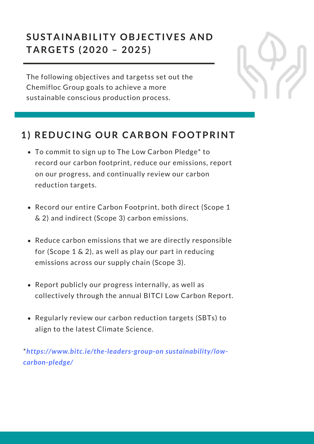### **SUSTAINABILITY OBJECTIVES AND TARGETS (2020 – 2025)**

The following objectives and targetss set out the Chemifloc Group goals to achieve a more sustainable conscious production process.



#### **1) REDUCING OUR CARBON FOOTPRINT**

- To commit to sign up to The Low Carbon Pledge<sup>\*</sup> to record our carbon footprint, reduce our emissions, report on our progress, and continually review our carbon reduction targets.
- Record our entire Carbon Footprint, both direct (Scope 1 & 2) and indirect (Scope 3) carbon emissions.
- Reduce carbon emissions that we are directly responsible for (Scope 1 & 2), as well as play our part in reducing emissions across our supply chain (Scope 3).
- Report publicly our progress internally, as well as collectively through the annual BITCI Low Carbon Report.
- Regularly review our carbon reduction targets (SBTs) to align to the latest Climate Science.

\**https://www.bitc.ie/the-leaders-group-on sustainability/lowcarbon-pledge/*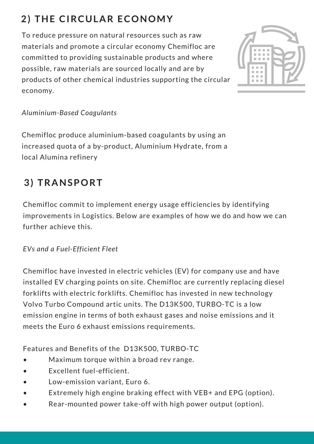# **2) THE CIRCULAR ECONOMY**

To reduce pressure on natural resources such as raw materials and promote a circular economy Chemifloc are committed to providing sustainable products and where possible, raw materials are sourced locally and are by products of other chemical industries supporting the circular economy.



#### *Aluminium-Based Coagulants*

Chemifloc produce aluminium-based coagulants by using an increased quota of a by-product, Aluminium Hydrate, from a local Alumina refinery

# **3) TRANSPORT**

Chemifloc commit to implement energy usage efficiencies by identifying improvements in Logistics. Below are examples of how we do and how we can further achieve this.

#### *EVs and a Fuel-Efficient Fleet*

Chemifloc have invested in electric vehicles (EV) for company use and have installed EV charging points on site. Chemifloc are currently replacing diesel forklifts with electric forklifts. Chemifloc has invested in new technology Volvo Turbo Compound artic units. The D13K500, TURBO-TC is a low emission engine in terms of both exhaust gases and noise emissions and it meets the Euro 6 exhaust emissions requirements.

Features and Benefits of the D13K500, TURBO-TC

- Maximum torque within a broad rev range.
- Excellent fuel-efficient.
- Low-emission variant, Euro 6.
- Extremely high engine braking effect with VEB+ and EPG (option).
- Rear-mounted power take-off with high power output (option).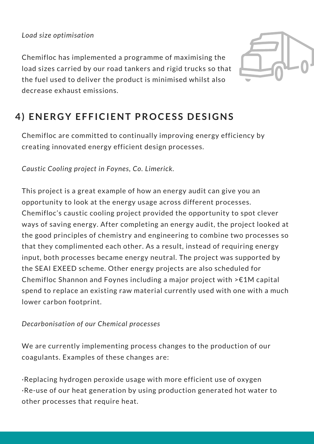Chemifloc has implemented a programme of maximising the load sizes carried by our road tankers and rigid trucks so that the fuel used to deliver the product is minimised whilst also decrease exhaust emissions.



## **4) ENERGY EFFICIENT PROCESS DESIGNS**

Chemifloc are committed to continually improving energy efficiency by creating innovated energy efficient design processes.

*Caustic Cooling project in Foynes, Co. Limerick.*

This project is a great example of how an energy audit can give you an opportunity to look at the energy usage across different processes. Chemifloc's caustic cooling project provided the opportunity to spot clever ways of saving energy. After completing an energy audit, the project looked at the good principles of chemistry and engineering to combine two processes so that they complimented each other. As a result, instead of requiring energy input, both processes became energy neutral. The project was supported by the SEAI EXEED scheme. Other energy projects are also scheduled for Chemifloc Shannon and Foynes including a major project with >€1M capital spend to replace an existing raw material currently used with one with a much lower carbon footprint.

*Decarbonisation of our Chemical processes*

We are currently implementing process changes to the production of our coagulants. Examples of these changes are:

·Replacing hydrogen peroxide usage with more efficient use of oxygen ·Re-use of our heat generation by using production generated hot water to other processes that require heat.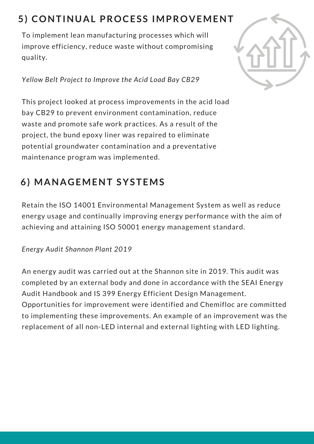### **5) CONTINUAL PROCESS IMPROVEMENT**

To implement lean manufacturing processes which will improve efficiency, reduce waste without compromising quality.

*Yellow Belt Project to Improve the Acid Load Bay CB29*



This project looked at process improvements in the acid load bay CB29 to prevent environment contamination, reduce waste and promote safe work practices. As a result of the project, the bund epoxy liner was repaired to eliminate potential groundwater contamination and a preventative maintenance program was implemented.

# **6) MANAGEMENT SYSTEMS**

Retain the ISO 14001 Environmental Management System as well as reduce energy usage and continually improving energy performance with the aim of achieving and attaining ISO 50001 energy management standard.

*Energy Audit Shannon Plant 2019*

An energy audit was carried out at the Shannon site in 2019. This audit was completed by an external body and done in accordance with the SEAI Energy Audit Handbook and IS 399 Energy Efficient Design Management. Opportunities for improvement were identified and Chemifloc are committed to implementing these improvements. An example of an improvement was the replacement of all non-LED internal and external lighting with LED lighting.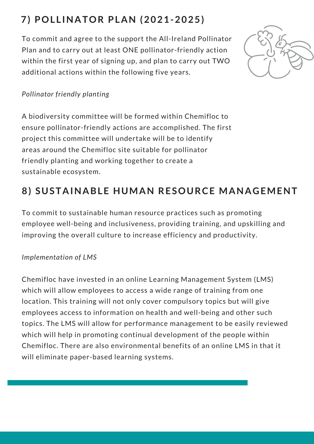# **7) POL L INATOR PLAN (2021-2025)**

To commit and agree to the support the All-Ireland Pollinator Plan and to carry out at least ONE pollinator-friendly action within the first year of signing up, and plan to carry out TWO additional actions within the following five years.



#### *Pollinator friendly planting*

A biodiversity committee will be formed within Chemifloc to ensure pollinator-friendly actions are accomplished. The first project this committee will undertake will be to identify areas around the Chemifloc site suitable for pollinator friendly planting and working together to create a sustainable ecosystem.

### **8) SUSTAINABLE HUMAN RESOURCE MANAGEMENT**

To commit to sustainable human resource practices such as promoting employee well-being and inclusiveness, providing training, and upskilling and improving the overall culture to increase efficiency and productivity.

#### *Implementation of LMS*

Chemifloc have invested in an online Learning Management System (LMS) which will allow employees to access a wide range of training from one location. This training will not only cover compulsory topics but will give employees access to information on health and well-being and other such topics. The LMS will allow for performance management to be easily reviewed which will help in promoting continual development of the people within Chemifloc. There are also environmental benefits of an online LMS in that it will eliminate paper-based learning systems.